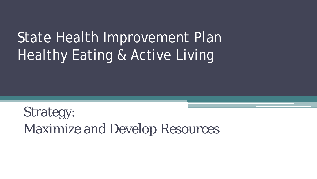# State Health Improvement Plan Healthy Eating & Active Living

Strategy: Maximize and Develop Resources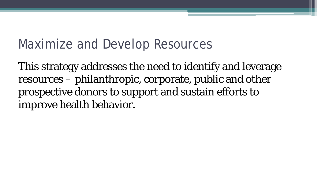# Maximize and Develop Resources

This strategy addresses the need to identify and leverage resources – philanthropic, corporate, public and other prospective donors to support and sustain efforts to improve health behavior.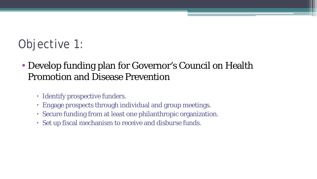# Objective 1:

- Develop funding plan for Governor's Council on Health Promotion and Disease Prevention
	- Identify prospective funders.
	- Engage prospects through individual and group meetings.
	- Secure funding from at least one philanthropic organization.
	- Set up fiscal mechanism to receive and disburse funds.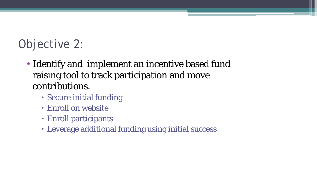# Objective 2:

- Identify and implement an incentive based fund raising tool to track participation and move contributions.
	- Secure initial funding
	- Enroll on website
	- Enroll participants
	- Leverage additional funding using initial success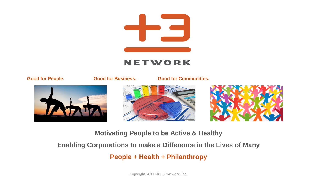



 **Good for People. Good for Business. Good for Communities.**







**Motivating People to be Active & Healthy**

**Enabling Corporations to make a Difference in the Lives of Many**

**People + Health + Philanthropy**

Copyright 2012 Plus 3 Network, Inc.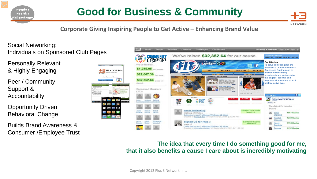

### **Good for Business & Community**



**Corporate Giving Inspiring People to Get Active – Enhancing Brand Value** 

### Social Networking: Individuals on Sponsored Club Pages

Personally Relevant & Highly Engaging

Peer / Community Support & Accountability

Opportunity Driven Behavioral Change

Builds Brand Awareness & Consumer /Employee Trust



#### **The idea that every time I do something good for me, that it also benefits a cause I care about is incredibly motivating**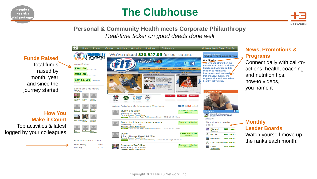People + Health + Philanthropy

### **The Clubhouse**



#### **Personal & Community Health meets Corporate Philanthropy**  *Real-time ticker on good deeds done well*



#### **News, Promotions & Programs**

Connect daily with call-toactions, health, coaching and nutrition tips, how-to videos, you name it

#### **Monthly Leader Boards**

Watch yourself move up the ranks each month!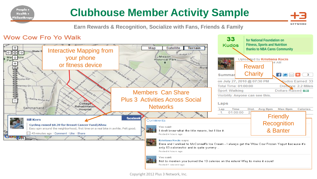

NETWORK

**Earn Rewards & Recognition, Socialize with Fans, Friends & Family**

#### Wow Cow Fro Yo Walk

People + Health + Philanthropy

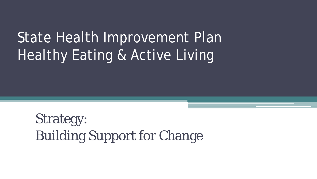# State Health Improvement Plan Healthy Eating & Active Living

Strategy: Building Support for Change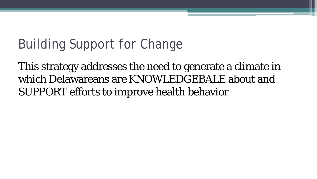# Building Support for Change

This strategy addresses the need to generate a climate in which Delawareans are KNOWLEDGEBALE about and SUPPORT efforts to improve health behavior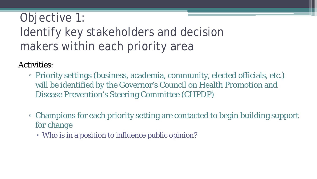# Objective 1: Identify key stakeholders and decision makers within each priority area

Activities:

- Priority settings (business, academia, community, elected officials, etc.) will be identified by the Governor's Council on Health Promotion and Disease Prevention's Steering Committee (CHPDP)
- Champions for each priority setting are contacted to begin building support for change
	- Who is in a position to influence public opinion?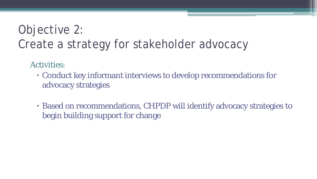# Objective 2: Create a strategy for stakeholder advocacy

Activities:

- Conduct key informant interviews to develop recommendations for advocacy strategies
- Based on recommendations, CHPDP will identify advocacy strategies to begin building support for change